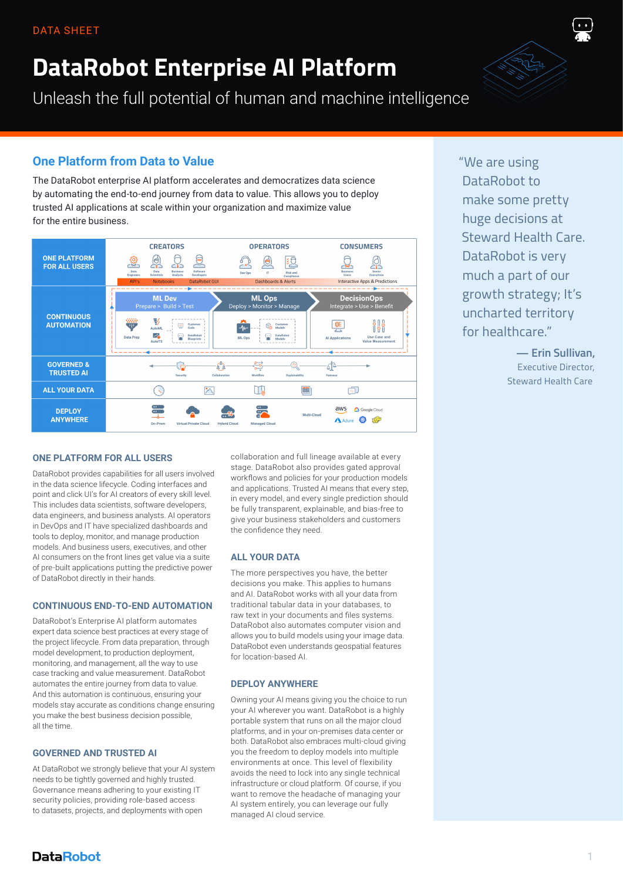# **DataRobot Enterprise AI Platform**

Unleash the full potential of human and machine intelligence

## **One Platform from Data to Value**

The DataRobot enterprise AI platform accelerates and democratizes data science by automating the end-to-end journey from data to value. This allows you to deploy trusted AI applications at scale within your organization and maximize value for the entire business.



"We are using DataRobot to make some pretty huge decisions at Steward Health Care. DataRobot is very much a part of our growth strategy; It's uncharted territory for healthcare."

> **— Erin Sullivan,** Executive Director, Steward Health Care

## **ONE PLATFORM FOR ALL USERS**

DataRobot provides capabilities for all users involved in the data science lifecycle. Coding interfaces and point and click UI's for AI creators of every skill level. This includes data scientists, software developers, data engineers, and business analysts. AI operators in DevOps and IT have specialized dashboards and tools to deploy, monitor, and manage production models. And business users, executives, and other AI consumers on the front lines get value via a suite of pre-built applications putting the predictive power of DataRobot directly in their hands.

## **CONTINUOUS END-TO-END AUTOMATION**

DataRobot's Enterprise AI platform automates expert data science best practices at every stage of the project lifecycle. From data preparation, through model development, to production deployment, monitoring, and management, all the way to use case tracking and value measurement. DataRobot automates the entire journey from data to value. And this automation is continuous, ensuring your models stay accurate as conditions change ensuring you make the best business decision possible, all the time.

#### **GOVERNED AND TRUSTED AI**

At DataRobot we strongly believe that your AI system needs to be tightly governed and highly trusted. Governance means adhering to your existing IT security policies, providing role-based access to datasets, projects, and deployments with open

collaboration and full lineage available at every stage. DataRobot also provides gated approval workflows and policies for your production models and applications. Trusted AI means that every step, in every model, and every single prediction should be fully transparent, explainable, and bias-free to give your business stakeholders and customers the confidence they need.

#### **ALL YOUR DATA**

The more perspectives you have, the better decisions you make. This applies to humans and AI. DataRobot works with all your data from traditional tabular data in your databases, to raw text in your documents and files systems. DataRobot also automates computer vision and allows you to build models using your image data. DataRobot even understands geospatial features for location-based AI.

#### **DEPLOY ANYWHERE**

Owning your AI means giving you the choice to run your AI wherever you want. DataRobot is a highly portable system that runs on all the major cloud platforms, and in your on-premises data center or both. DataRobot also embraces multi-cloud giving you the freedom to deploy models into multiple environments at once. This level of flexibility avoids the need to lock into any single technical infrastructure or cloud platform. Of course, if you want to remove the headache of managing your AI system entirely, you can leverage our fully managed AI cloud service.